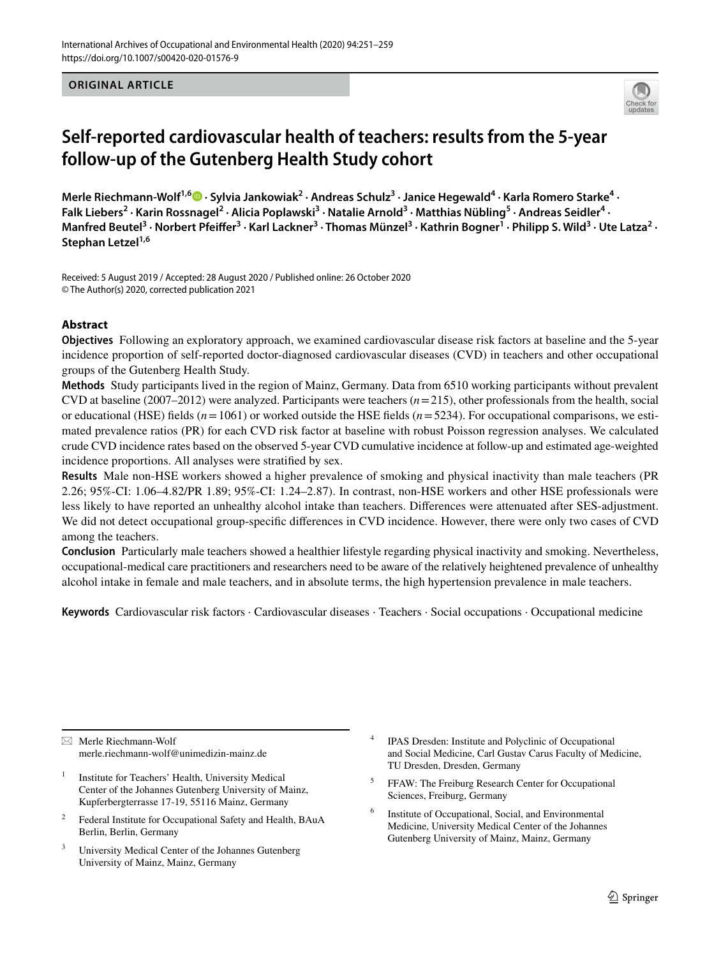**ORIGINAL ARTICLE**



# **Self‑reported cardiovascular health of teachers: results from the 5‑year follow‑up of the Gutenberg Health Study cohort**

MerleRiechmann-Wolf<sup>1,6</sup> <sup>0</sup> · Sylvia Jankowiak<sup>2</sup> · Andreas Schulz<sup>3</sup> · Janice Hegewald<sup>4</sup> · Karla Romero Starke<sup>4</sup> · Falk Liebers<sup>2</sup> · Karin Rossnagel<sup>2</sup> · Alicia Poplawski<sup>3</sup> · Natalie Arnold<sup>3</sup> · Matthias Nübling<sup>5</sup> · Andreas Seidler<sup>4</sup> · Manfred Beutel<sup>3</sup> · Norbert Pfeiffer<sup>3</sup> · Karl Lackner<sup>3</sup> · Thomas Münzel<sup>3</sup> · Kathrin Bogner<sup>1</sup> · Philipp S. Wild<sup>3</sup> · Ute Latza<sup>2</sup> · Stephan Letzel<sup>1,6</sup>

Received: 5 August 2019 / Accepted: 28 August 2020 / Published online: 26 October 2020 © The Author(s) 2020, corrected publication 2021

#### **Abstract**

**Objectives** Following an exploratory approach, we examined cardiovascular disease risk factors at baseline and the 5-year incidence proportion of self-reported doctor-diagnosed cardiovascular diseases (CVD) in teachers and other occupational groups of the Gutenberg Health Study.

**Methods** Study participants lived in the region of Mainz, Germany. Data from 6510 working participants without prevalent CVD at baseline (2007–2012) were analyzed. Participants were teachers (*n*=215), other professionals from the health, social or educational (HSE) felds (*n*=1061) or worked outside the HSE felds (*n*=5234). For occupational comparisons, we estimated prevalence ratios (PR) for each CVD risk factor at baseline with robust Poisson regression analyses. We calculated crude CVD incidence rates based on the observed 5-year CVD cumulative incidence at follow-up and estimated age-weighted incidence proportions. All analyses were stratifed by sex.

**Results** Male non-HSE workers showed a higher prevalence of smoking and physical inactivity than male teachers (PR 2.26; 95%-CI: 1.06–4.82/PR 1.89; 95%-CI: 1.24–2.87). In contrast, non-HSE workers and other HSE professionals were less likely to have reported an unhealthy alcohol intake than teachers. Diferences were attenuated after SES-adjustment. We did not detect occupational group-specifc diferences in CVD incidence. However, there were only two cases of CVD among the teachers.

**Conclusion** Particularly male teachers showed a healthier lifestyle regarding physical inactivity and smoking. Nevertheless, occupational-medical care practitioners and researchers need to be aware of the relatively heightened prevalence of unhealthy alcohol intake in female and male teachers, and in absolute terms, the high hypertension prevalence in male teachers.

**Keywords** Cardiovascular risk factors · Cardiovascular diseases · Teachers · Social occupations · Occupational medicine

 $\boxtimes$  Merle Riechmann-Wolf merle.riechmann-wolf@unimedizin-mainz.de

- Institute for Teachers' Health, University Medical Center of the Johannes Gutenberg University of Mainz, Kupferbergterrasse 17-19, 55116 Mainz, Germany
- <sup>2</sup> Federal Institute for Occupational Safety and Health, BAuA Berlin, Berlin, Germany
- <sup>3</sup> University Medical Center of the Johannes Gutenberg University of Mainz, Mainz, Germany
- IPAS Dresden: Institute and Polyclinic of Occupational and Social Medicine, Carl Gustav Carus Faculty of Medicine, TU Dresden, Dresden, Germany
- <sup>5</sup> FFAW: The Freiburg Research Center for Occupational Sciences, Freiburg, Germany
- Institute of Occupational, Social, and Environmental Medicine, University Medical Center of the Johannes Gutenberg University of Mainz, Mainz, Germany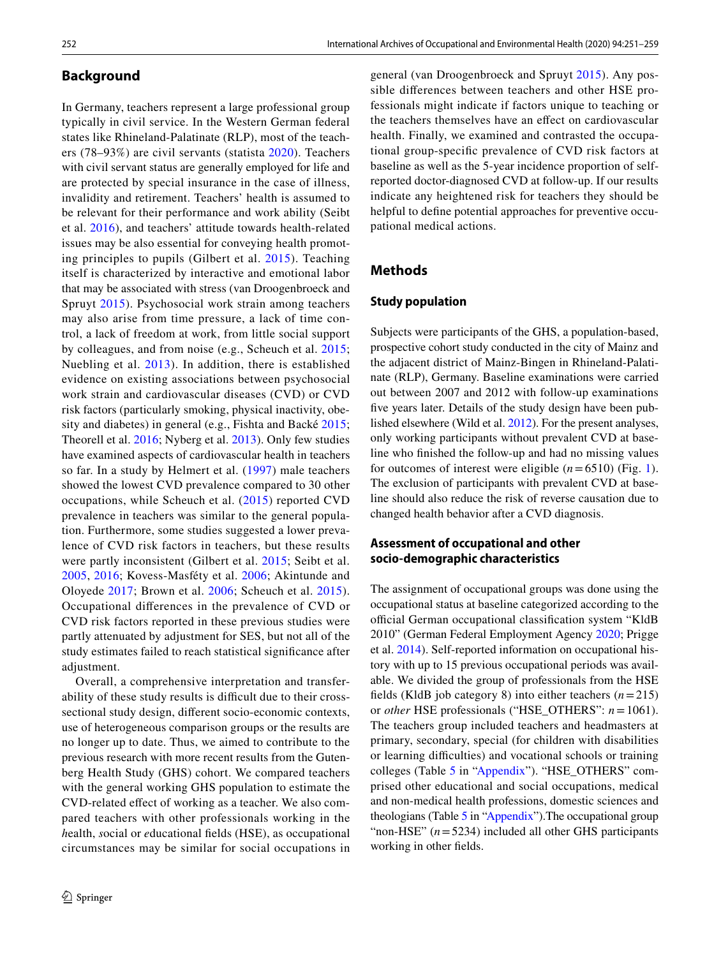#### **Background**

In Germany, teachers represent a large professional group typically in civil service. In the Western German federal states like Rhineland-Palatinate (RLP), most of the teachers (78–93%) are civil servants (statista [2020\)](#page-8-0). Teachers with civil servant status are generally employed for life and are protected by special insurance in the case of illness, invalidity and retirement. Teachers' health is assumed to be relevant for their performance and work ability (Seibt et al. [2016](#page-8-1)), and teachers' attitude towards health-related issues may be also essential for conveying health promoting principles to pupils (Gilbert et al. [2015](#page-8-2)). Teaching itself is characterized by interactive and emotional labor that may be associated with stress (van Droogenbroeck and Spruyt [2015\)](#page-8-3). Psychosocial work strain among teachers may also arise from time pressure, a lack of time control, a lack of freedom at work, from little social support by colleagues, and from noise (e.g., Scheuch et al. [2015](#page-8-4); Nuebling et al. [2013](#page-8-5)). In addition, there is established evidence on existing associations between psychosocial work strain and cardiovascular diseases (CVD) or CVD risk factors (particularly smoking, physical inactivity, obesity and diabetes) in general (e.g., Fishta and Backé [2015](#page-8-6); Theorell et al. [2016](#page-8-7); Nyberg et al. [2013](#page-8-5)). Only few studies have examined aspects of cardiovascular health in teachers so far. In a study by Helmert et al. ([1997\)](#page-8-8) male teachers showed the lowest CVD prevalence compared to 30 other occupations, while Scheuch et al. ([2015\)](#page-8-4) reported CVD prevalence in teachers was similar to the general population. Furthermore, some studies suggested a lower prevalence of CVD risk factors in teachers, but these results were partly inconsistent (Gilbert et al. [2015;](#page-8-2) Seibt et al. [2005,](#page-8-9) [2016;](#page-8-1) Kovess-Masféty et al. [2006;](#page-8-10) Akintunde and Oloyede [2017](#page-8-11); Brown et al. [2006](#page-8-12); Scheuch et al. [2015](#page-8-4)). Occupational diferences in the prevalence of CVD or CVD risk factors reported in these previous studies were partly attenuated by adjustment for SES, but not all of the study estimates failed to reach statistical signifcance after adjustment.

Overall, a comprehensive interpretation and transferability of these study results is difficult due to their crosssectional study design, diferent socio-economic contexts, use of heterogeneous comparison groups or the results are no longer up to date. Thus, we aimed to contribute to the previous research with more recent results from the Gutenberg Health Study (GHS) cohort. We compared teachers with the general working GHS population to estimate the CVD-related efect of working as a teacher. We also compared teachers with other professionals working in the *h*ealth, *s*ocial or *e*ducational felds (HSE), as occupational circumstances may be similar for social occupations in general (van Droogenbroeck and Spruyt [2015](#page-8-3)). Any possible diferences between teachers and other HSE professionals might indicate if factors unique to teaching or the teachers themselves have an efect on cardiovascular health. Finally, we examined and contrasted the occupational group-specifc prevalence of CVD risk factors at baseline as well as the 5-year incidence proportion of selfreported doctor-diagnosed CVD at follow-up. If our results indicate any heightened risk for teachers they should be helpful to defne potential approaches for preventive occupational medical actions.

### **Methods**

#### **Study population**

Subjects were participants of the GHS, a population-based, prospective cohort study conducted in the city of Mainz and the adjacent district of Mainz-Bingen in Rhineland-Palatinate (RLP), Germany. Baseline examinations were carried out between 2007 and 2012 with follow-up examinations five years later. Details of the study design have been published elsewhere (Wild et al. [2012\)](#page-8-13). For the present analyses, only working participants without prevalent CVD at baseline who fnished the follow-up and had no missing values for outcomes of interest were eligible  $(n=6510)$  $(n=6510)$  $(n=6510)$  (Fig. 1). The exclusion of participants with prevalent CVD at baseline should also reduce the risk of reverse causation due to changed health behavior after a CVD diagnosis.

#### **Assessment of occupational and other socio‑demographic characteristics**

The assignment of occupational groups was done using the occupational status at baseline categorized according to the official German occupational classification system "KldB 2010" (German Federal Employment Agency [2020;](#page-8-14) Prigge et al. [2014](#page-8-15)). Self-reported information on occupational history with up to 15 previous occupational periods was available. We divided the group of professionals from the HSE felds (KldB job category 8) into either teachers (*n*=215) or *other* HSE professionals ("HSE\_OTHERS": *n*=1061). The teachers group included teachers and headmasters at primary, secondary, special (for children with disabilities or learning difculties) and vocational schools or training colleges (Table [5](#page-7-0) in ["Appendix](#page-7-1)"). "HSE\_OTHERS" comprised other educational and social occupations, medical and non-medical health professions, domestic sciences and theologians (Table [5](#page-7-0) in ["Appendix"](#page-7-1)).The occupational group "non-HSE" (*n*=5234) included all other GHS participants working in other felds.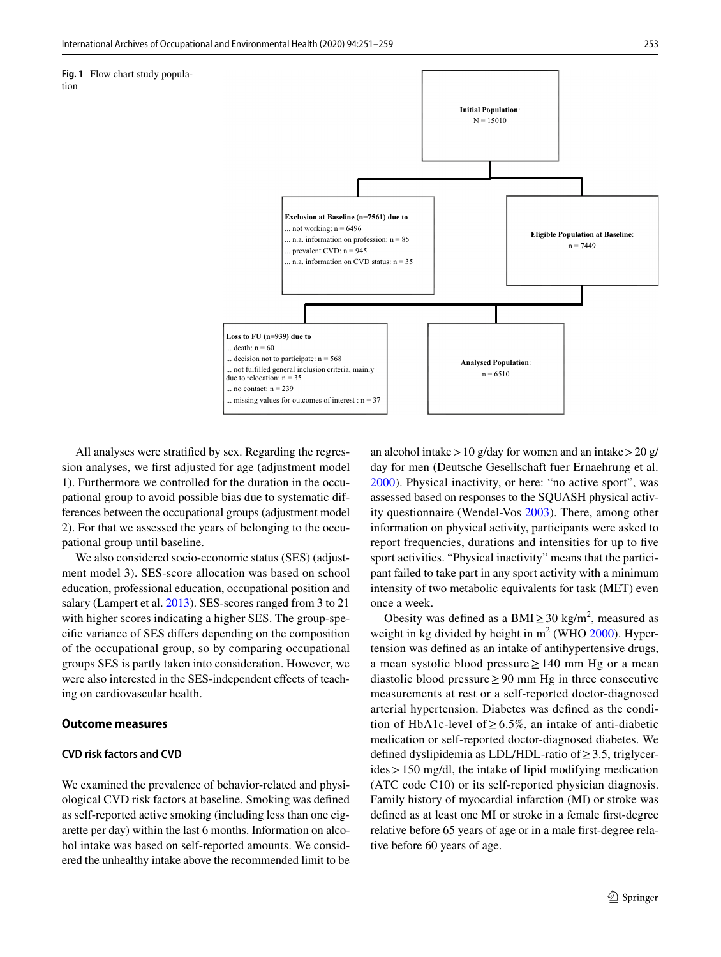<span id="page-2-0"></span>tion



All analyses were stratifed by sex. Regarding the regression analyses, we frst adjusted for age (adjustment model 1). Furthermore we controlled for the duration in the occupational group to avoid possible bias due to systematic differences between the occupational groups (adjustment model 2). For that we assessed the years of belonging to the occupational group until baseline.

We also considered socio-economic status (SES) (adjustment model 3). SES-score allocation was based on school education, professional education, occupational position and salary (Lampert et al. [2013\)](#page-8-16). SES-scores ranged from 3 to 21 with higher scores indicating a higher SES. The group-specifc variance of SES difers depending on the composition of the occupational group, so by comparing occupational groups SES is partly taken into consideration. However, we were also interested in the SES-independent effects of teaching on cardiovascular health.

#### **Outcome measures**

#### **CVD risk factors and CVD**

We examined the prevalence of behavior-related and physiological CVD risk factors at baseline. Smoking was defned as self-reported active smoking (including less than one cigarette per day) within the last 6 months. Information on alcohol intake was based on self-reported amounts. We considered the unhealthy intake above the recommended limit to be

an alcohol intake > 10 g/day for women and an intake > 20 g/ day for men (Deutsche Gesellschaft fuer Ernaehrung et al. [2000\)](#page-8-17). Physical inactivity, or here: "no active sport", was assessed based on responses to the SQUASH physical activity questionnaire (Wendel-Vos [2003](#page-8-18)). There, among other information on physical activity, participants were asked to report frequencies, durations and intensities for up to fve sport activities. "Physical inactivity" means that the participant failed to take part in any sport activity with a minimum intensity of two metabolic equivalents for task (MET) even once a week.

Obesity was defined as a BMI $\geq$  30 kg/m<sup>2</sup>, measured as weight in kg divided by height in  $m<sup>2</sup>$  (WHO [2000](#page-8-19)). Hypertension was defned as an intake of antihypertensive drugs, a mean systolic blood pressure≥140 mm Hg or a mean diastolic blood pressure≥90 mm Hg in three consecutive measurements at rest or a self-reported doctor-diagnosed arterial hypertension. Diabetes was defned as the condition of HbA1c-level of  $\geq$  6.5%, an intake of anti-diabetic medication or self-reported doctor-diagnosed diabetes. We defined dyslipidemia as LDL/HDL-ratio of  $\geq$  3.5, triglycerides>150 mg/dl, the intake of lipid modifying medication (ATC code C10) or its self-reported physician diagnosis. Family history of myocardial infarction (MI) or stroke was defned as at least one MI or stroke in a female frst-degree relative before 65 years of age or in a male frst-degree relative before 60 years of age.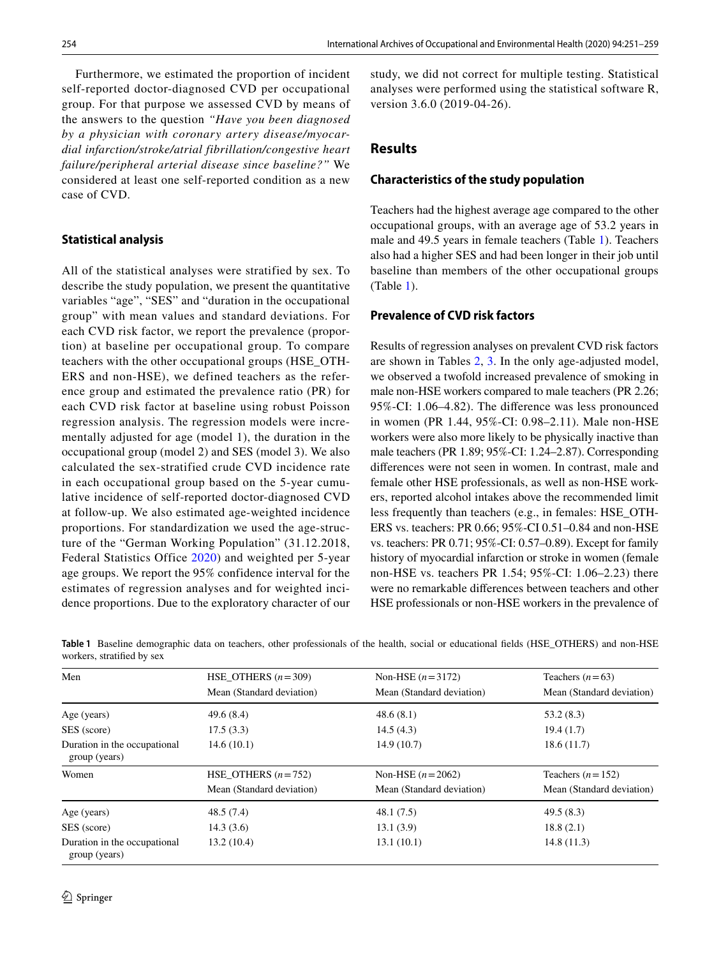Furthermore, we estimated the proportion of incident self-reported doctor-diagnosed CVD per occupational group. For that purpose we assessed CVD by means of the answers to the question *"Have you been diagnosed by a physician with coronary artery disease/myocardial infarction/stroke/atrial fibrillation/congestive heart failure/peripheral arterial disease since baseline?"* We considered at least one self-reported condition as a new case of CVD.

#### **Statistical analysis**

All of the statistical analyses were stratified by sex. To describe the study population, we present the quantitative variables "age", "SES" and "duration in the occupational group" with mean values and standard deviations. For each CVD risk factor, we report the prevalence (proportion) at baseline per occupational group. To compare teachers with the other occupational groups (HSE\_OTH-ERS and non-HSE), we defined teachers as the reference group and estimated the prevalence ratio (PR) for each CVD risk factor at baseline using robust Poisson regression analysis. The regression models were incrementally adjusted for age (model 1), the duration in the occupational group (model 2) and SES (model 3). We also calculated the sex-stratified crude CVD incidence rate in each occupational group based on the 5-year cumulative incidence of self-reported doctor-diagnosed CVD at follow-up. We also estimated age-weighted incidence proportions. For standardization we used the age-structure of the "German Working Population" (31.12.2018, Federal Statistics Office [2020](#page-8-20)) and weighted per 5-year age groups. We report the 95% confidence interval for the estimates of regression analyses and for weighted incidence proportions. Due to the exploratory character of our study, we did not correct for multiple testing. Statistical analyses were performed using the statistical software R, version 3.6.0 (2019-04-26).

## **Results**

#### **Characteristics of the study population**

Teachers had the highest average age compared to the other occupational groups, with an average age of 53.2 years in male and 49.5 years in female teachers (Table [1\)](#page-3-0). Teachers also had a higher SES and had been longer in their job until baseline than members of the other occupational groups (Table [1\)](#page-3-0).

#### **Prevalence of CVD risk factors**

Results of regression analyses on prevalent CVD risk factors are shown in Tables [2](#page-4-0), [3.](#page-5-0) In the only age-adjusted model, we observed a twofold increased prevalence of smoking in male non-HSE workers compared to male teachers (PR 2.26; 95%-CI: 1.06–4.82). The diference was less pronounced in women (PR 1.44, 95%-CI: 0.98–2.11). Male non-HSE workers were also more likely to be physically inactive than male teachers (PR 1.89; 95%-CI: 1.24–2.87). Corresponding diferences were not seen in women. In contrast, male and female other HSE professionals, as well as non-HSE workers, reported alcohol intakes above the recommended limit less frequently than teachers (e.g., in females: HSE\_OTH-ERS vs. teachers: PR 0.66; 95%-CI 0.51–0.84 and non-HSE vs. teachers: PR 0.71; 95%-CI: 0.57–0.89). Except for family history of myocardial infarction or stroke in women (female non-HSE vs. teachers PR 1.54; 95%-CI: 1.06–2.23) there were no remarkable diferences between teachers and other HSE professionals or non-HSE workers in the prevalence of

<span id="page-3-0"></span>**Table 1** Baseline demographic data on teachers, other professionals of the health, social or educational felds (HSE\_OTHERS) and non-HSE workers, stratifed by sex

| Men                                           | HSE OTHERS $(n=309)$      | Non-HSE $(n=3172)$        | Teachers $(n=63)$         |
|-----------------------------------------------|---------------------------|---------------------------|---------------------------|
|                                               | Mean (Standard deviation) | Mean (Standard deviation) | Mean (Standard deviation) |
| Age (years)                                   | 49.6(8.4)                 | 48.6(8.1)                 | 53.2(8.3)                 |
| SES (score)                                   | 17.5(3.3)                 | 14.5(4.3)                 | 19.4(1.7)                 |
| Duration in the occupational<br>group (years) | 14.6(10.1)                | 14.9(10.7)                | 18.6(11.7)                |
| Women                                         | HSE OTHERS $(n=752)$      | Non-HSE $(n=2062)$        | Teachers $(n=152)$        |
|                                               | Mean (Standard deviation) | Mean (Standard deviation) | Mean (Standard deviation) |
| Age (years)                                   | 48.5(7.4)                 | 48.1(7.5)                 | 49.5(8.3)                 |
| SES (score)                                   | 14.3(3.6)                 | 13.1(3.9)                 | 18.8(2.1)                 |
| Duration in the occupational<br>group (years) | 13.2(10.4)                | 13.1(10.1)                | 14.8(11.3)                |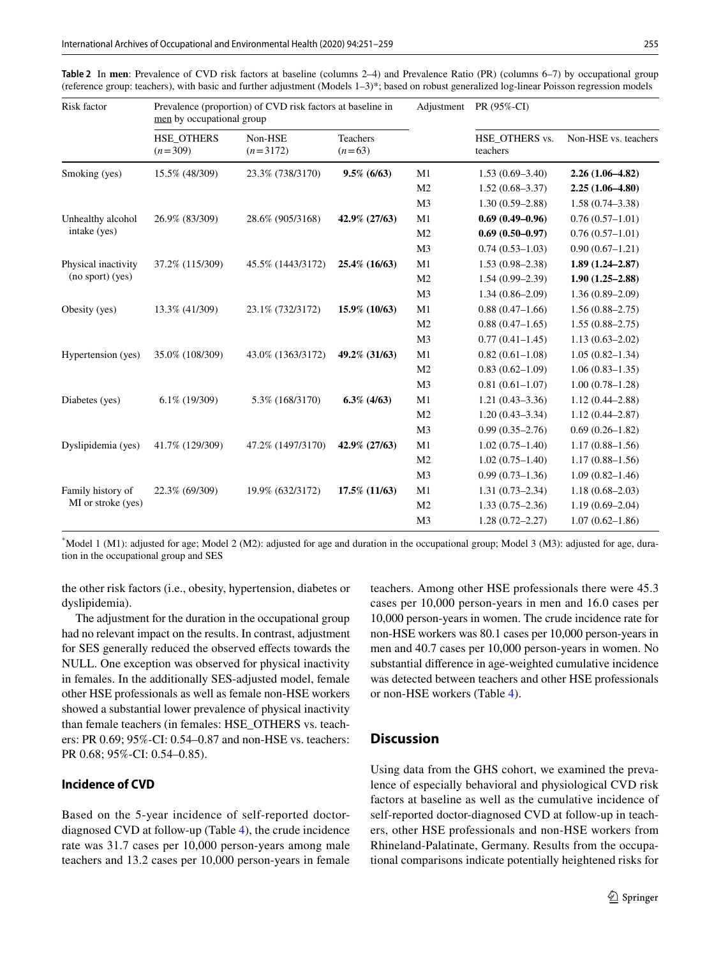| Risk factor         | Prevalence (proportion) of CVD risk factors at baseline in<br>men by occupational group |                       |                      |                | Adjustment PR (95%-CI)     |                      |
|---------------------|-----------------------------------------------------------------------------------------|-----------------------|----------------------|----------------|----------------------------|----------------------|
|                     | HSE OTHERS<br>$(n=309)$                                                                 | Non-HSE<br>$(n=3172)$ | Teachers<br>$(n=63)$ |                | HSE_OTHERS vs.<br>teachers | Non-HSE vs. teachers |
| Smoking (yes)       | 15.5% (48/309)                                                                          | 23.3% (738/3170)      | $9.5\%$ (6/63)       | M1             | $1.53(0.69 - 3.40)$        | $2.26(1.06-4.82)$    |
|                     |                                                                                         |                       |                      | M <sub>2</sub> | $1.52(0.68 - 3.37)$        | $2.25(1.06-4.80)$    |
|                     |                                                                                         |                       |                      | M <sub>3</sub> | $1.30(0.59 - 2.88)$        | $1.58(0.74 - 3.38)$  |
| Unhealthy alcohol   | 26.9% (83/309)                                                                          | 28.6% (905/3168)      | 42.9% (27/63)        | M1             | $0.69(0.49 - 0.96)$        | $0.76(0.57-1.01)$    |
| intake (yes)        |                                                                                         |                       |                      | M <sub>2</sub> | $0.69(0.50 - 0.97)$        | $0.76(0.57-1.01)$    |
|                     |                                                                                         |                       |                      | M <sub>3</sub> | $0.74(0.53 - 1.03)$        | $0.90(0.67-1.21)$    |
| Physical inactivity | 37.2% (115/309)                                                                         | 45.5% (1443/3172)     | 25.4% (16/63)        | M <sub>1</sub> | $1.53(0.98 - 2.38)$        | $1.89(1.24 - 2.87)$  |
| (no sport) (yes)    |                                                                                         |                       |                      | M <sub>2</sub> | $1.54(0.99 - 2.39)$        | $1.90(1.25 - 2.88)$  |
|                     |                                                                                         |                       |                      | M <sub>3</sub> | $1.34(0.86 - 2.09)$        | $1.36(0.89 - 2.09)$  |
| Obesity (yes)       | 13.3% (41/309)                                                                          | 23.1% (732/3172)      | 15.9% (10/63)        | M1             | $0.88(0.47-1.66)$          | $1.56(0.88 - 2.75)$  |
|                     |                                                                                         |                       |                      | M <sub>2</sub> | $0.88(0.47-1.65)$          | $1.55(0.88 - 2.75)$  |
|                     |                                                                                         |                       |                      | M <sub>3</sub> | $0.77(0.41 - 1.45)$        | $1.13(0.63 - 2.02)$  |
| Hypertension (yes)  | 35.0% (108/309)                                                                         | 43.0% (1363/3172)     | 49.2% (31/63)        | M1             | $0.82(0.61 - 1.08)$        | $1.05(0.82 - 1.34)$  |
|                     |                                                                                         |                       |                      | M <sub>2</sub> | $0.83(0.62 - 1.09)$        | $1.06(0.83 - 1.35)$  |
|                     |                                                                                         |                       |                      | M <sub>3</sub> | $0.81(0.61 - 1.07)$        | $1.00(0.78-1.28)$    |
| Diabetes (yes)      | 6.1% (19/309)                                                                           | 5.3% (168/3170)       | $6.3\%$ (4/63)       | M1             | $1.21(0.43 - 3.36)$        | $1.12(0.44 - 2.88)$  |
|                     |                                                                                         |                       |                      | M <sub>2</sub> | $1.20(0.43 - 3.34)$        | $1.12(0.44 - 2.87)$  |
|                     |                                                                                         |                       |                      | M <sub>3</sub> | $0.99(0.35 - 2.76)$        | $0.69(0.26 - 1.82)$  |
| Dyslipidemia (yes)  | 41.7% (129/309)                                                                         | 47.2% (1497/3170)     | 42.9% (27/63)        | M1             | $1.02(0.75 - 1.40)$        | $1.17(0.88 - 1.56)$  |
|                     |                                                                                         |                       |                      | M <sub>2</sub> | $1.02(0.75-1.40)$          | $1.17(0.88 - 1.56)$  |
|                     |                                                                                         |                       |                      | M <sub>3</sub> | $0.99(0.73 - 1.36)$        | $1.09(0.82 - 1.46)$  |
| Family history of   | 22.3% (69/309)                                                                          | 19.9% (632/3172)      | 17.5% (11/63)        | M1             | $1.31(0.73 - 2.34)$        | $1.18(0.68 - 2.03)$  |
| MI or stroke (yes)  |                                                                                         |                       |                      | M <sub>2</sub> | $1.33(0.75 - 2.36)$        | $1.19(0.69 - 2.04)$  |
|                     |                                                                                         |                       |                      | M <sub>3</sub> | $1.28(0.72 - 2.27)$        | $1.07(0.62 - 1.86)$  |

<span id="page-4-0"></span>**Table 2** In **men**: Prevalence of CVD risk factors at baseline (columns 2–4) and Prevalence Ratio (PR) (columns 6–7) by occupational group (reference group: teachers), with basic and further adjustment (Models 1–3)\*; based on robust generalized log-linear Poisson regression models

\* Model 1 (M1): adjusted for age; Model 2 (M2): adjusted for age and duration in the occupational group; Model 3 (M3): adjusted for age, duration in the occupational group and SES

the other risk factors (i.e., obesity, hypertension, diabetes or dyslipidemia).

The adjustment for the duration in the occupational group had no relevant impact on the results. In contrast, adjustment for SES generally reduced the observed effects towards the NULL. One exception was observed for physical inactivity in females. In the additionally SES-adjusted model, female other HSE professionals as well as female non-HSE workers showed a substantial lower prevalence of physical inactivity than female teachers (in females: HSE\_OTHERS vs. teachers: PR 0.69; 95%-CI: 0.54–0.87 and non-HSE vs. teachers: PR 0.68; 95%-CI: 0.54–0.85).

#### **Incidence of CVD**

Based on the 5-year incidence of self-reported doctordiagnosed CVD at follow-up (Table [4](#page-5-1)), the crude incidence rate was 31.7 cases per 10,000 person-years among male teachers and 13.2 cases per 10,000 person-years in female

teachers. Among other HSE professionals there were 45.3 cases per 10,000 person-years in men and 16.0 cases per 10,000 person-years in women. The crude incidence rate for non-HSE workers was 80.1 cases per 10,000 person-years in men and 40.7 cases per 10,000 person-years in women. No substantial diference in age-weighted cumulative incidence was detected between teachers and other HSE professionals or non-HSE workers (Table [4](#page-5-1)).

## **Discussion**

Using data from the GHS cohort, we examined the prevalence of especially behavioral and physiological CVD risk factors at baseline as well as the cumulative incidence of self-reported doctor-diagnosed CVD at follow-up in teachers, other HSE professionals and non-HSE workers from Rhineland-Palatinate, Germany. Results from the occupational comparisons indicate potentially heightened risks for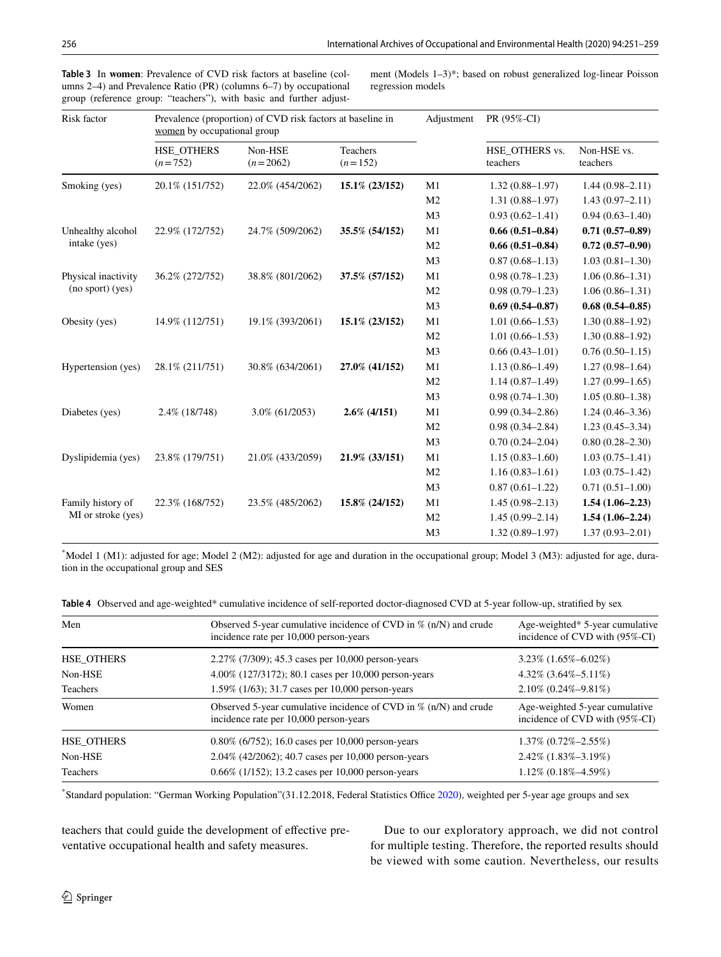| Risk factor         | Prevalence (proportion) of CVD risk factors at baseline in<br>women by occupational group |                       |                              | Adjustment     | PR (95%-CI)                |                         |
|---------------------|-------------------------------------------------------------------------------------------|-----------------------|------------------------------|----------------|----------------------------|-------------------------|
|                     | <b>HSE OTHERS</b><br>$(n=752)$                                                            | Non-HSE<br>$(n=2062)$ | <b>Teachers</b><br>$(n=152)$ |                | HSE OTHERS vs.<br>teachers | Non-HSE vs.<br>teachers |
| Smoking (yes)       | 20.1% (151/752)                                                                           | 22.0% (454/2062)      | 15.1% (23/152)               | M1             | $1.32(0.88 - 1.97)$        | $1.44(0.98-2.11)$       |
|                     |                                                                                           |                       |                              | M <sub>2</sub> | $1.31(0.88 - 1.97)$        | $1.43(0.97-2.11)$       |
|                     |                                                                                           |                       |                              | M <sub>3</sub> | $0.93(0.62 - 1.41)$        | $0.94(0.63 - 1.40)$     |
| Unhealthy alcohol   | 22.9% (172/752)                                                                           | 24.7% (509/2062)      | 35.5% (54/152)               | M1             | $0.66(0.51 - 0.84)$        | $0.71(0.57-0.89)$       |
| intake (yes)        |                                                                                           |                       |                              | M <sub>2</sub> | $0.66(0.51 - 0.84)$        | $0.72(0.57 - 0.90)$     |
|                     |                                                                                           |                       |                              | M <sub>3</sub> | $0.87(0.68 - 1.13)$        | $1.03(0.81 - 1.30)$     |
| Physical inactivity | 36.2% (272/752)                                                                           | 38.8% (801/2062)      | 37.5% (57/152)               | M1             | $0.98(0.78 - 1.23)$        | $1.06(0.86 - 1.31)$     |
| (no sport) (yes)    |                                                                                           |                       |                              | M <sub>2</sub> | $0.98(0.79-1.23)$          | $1.06(0.86 - 1.31)$     |
|                     |                                                                                           |                       |                              | M <sub>3</sub> | $0.69(0.54 - 0.87)$        | $0.68(0.54 - 0.85)$     |
| Obesity (yes)       | 14.9% (112/751)                                                                           | 19.1% (393/2061)      | 15.1% (23/152)               | M1             | $1.01(0.66 - 1.53)$        | $1.30(0.88 - 1.92)$     |
|                     |                                                                                           |                       |                              | M <sub>2</sub> | $1.01(0.66 - 1.53)$        | $1.30(0.88 - 1.92)$     |
|                     |                                                                                           |                       |                              | M <sub>3</sub> | $0.66(0.43 - 1.01)$        | $0.76(0.50-1.15)$       |
| Hypertension (yes)  | 28.1% (211/751)                                                                           | 30.8% (634/2061)      | 27.0% (41/152)               | M1             | $1.13(0.86 - 1.49)$        | $1.27(0.98 - 1.64)$     |
|                     |                                                                                           |                       |                              | M <sub>2</sub> | $1.14(0.87-1.49)$          | $1.27(0.99-1.65)$       |
|                     |                                                                                           |                       |                              | M <sub>3</sub> | $0.98(0.74 - 1.30)$        | $1.05(0.80-1.38)$       |
| Diabetes (yes)      | 2.4% (18/748)                                                                             | 3.0% (61/2053)        | $2.6\%$ (4/151)              | M1             | $0.99(0.34 - 2.86)$        | $1.24(0.46-3.36)$       |
|                     |                                                                                           |                       |                              | M <sub>2</sub> | $0.98(0.34 - 2.84)$        | $1.23(0.45-3.34)$       |
|                     |                                                                                           |                       |                              | M <sub>3</sub> | $0.70(0.24 - 2.04)$        | $0.80(0.28 - 2.30)$     |
| Dyslipidemia (yes)  | 23.8% (179/751)                                                                           | 21.0% (433/2059)      | 21.9% (33/151)               | M1             | $1.15(0.83 - 1.60)$        | $1.03(0.75 - 1.41)$     |
|                     |                                                                                           |                       |                              | M <sub>2</sub> | $1.16(0.83 - 1.61)$        | $1.03(0.75-1.42)$       |
|                     |                                                                                           |                       |                              | M <sub>3</sub> | $0.87(0.61 - 1.22)$        | $0.71(0.51-1.00)$       |
| Family history of   | 22.3% (168/752)                                                                           | 23.5% (485/2062)      | 15.8% (24/152)               | M1             | $1.45(0.98 - 2.13)$        | $1.54(1.06-2.23)$       |
| MI or stroke (yes)  |                                                                                           |                       |                              | M <sub>2</sub> | $1.45(0.99 - 2.14)$        | $1.54(1.06-2.24)$       |
|                     |                                                                                           |                       |                              | M <sub>3</sub> | $1.32(0.89 - 1.97)$        | $1.37(0.93 - 2.01)$     |

<span id="page-5-0"></span>**Table 3** In **women**: Prevalence of CVD risk factors at baseline (columns 2–4) and Prevalence Ratio (PR) (columns 6–7) by occupational group (reference group: "teachers"), with basic and further adjustment (Models 1–3)\*; based on robust generalized log-linear Poisson regression models

\* Model 1 (M1): adjusted for age; Model 2 (M2): adjusted for age and duration in the occupational group; Model 3 (M3): adjusted for age, duration in the occupational group and SES

<span id="page-5-1"></span>

| Table 4 Observed and age-weighted* cumulative incidence of self-reported doctor-diagnosed CVD at 5-year follow-up, stratified by sex |  |  |  |
|--------------------------------------------------------------------------------------------------------------------------------------|--|--|--|
|--------------------------------------------------------------------------------------------------------------------------------------|--|--|--|

| Men               | Observed 5-year cumulative incidence of CVD in $\%$ (n/N) and crude<br>incidence rate per 10,000 person-years | Age-weighted* 5-year cumulative<br>incidence of CVD with (95%-CI) |
|-------------------|---------------------------------------------------------------------------------------------------------------|-------------------------------------------------------------------|
| <b>HSE_OTHERS</b> | 2.27% (7/309); 45.3 cases per 10,000 person-years                                                             | $3.23\%$ (1.65%-6.02%)                                            |
| Non-HSE           | 4.00% (127/3172); 80.1 cases per 10,000 person-years                                                          | $4.32\%$ (3.64\%-5.11\%)                                          |
| <b>Teachers</b>   | 1.59% (1/63); 31.7 cases per 10,000 person-years                                                              | $2.10\%$ (0.24\%-9.81\%)                                          |
| Women             | Observed 5-year cumulative incidence of CVD in $\%$ (n/N) and crude<br>incidence rate per 10,000 person-years | Age-weighted 5-year cumulative<br>incidence of CVD with (95%-CI)  |
| HSE OTHERS        | 0.80% (6/752); 16.0 cases per 10,000 person-years                                                             | $1.37\%$ (0.72\%-2.55\%)                                          |
| Non-HSE           | $2.04\%$ (42/2062); 40.7 cases per 10,000 person-years                                                        | $2.42\%$ (1.83%-3.19%)                                            |
| <b>Teachers</b>   | $0.66\%$ (1/152); 13.2 cases per 10,000 person-years                                                          | $1.12\%$ (0.18\%-4.59\%)                                          |

\*Standard population: "German Working Population"(31.12.2018, Federal Statistics Office [2020\)](#page-8-20), weighted per 5-year age groups and sex

teachers that could guide the development of efective preventative occupational health and safety measures.

Due to our exploratory approach, we did not control for multiple testing. Therefore, the reported results should be viewed with some caution. Nevertheless, our results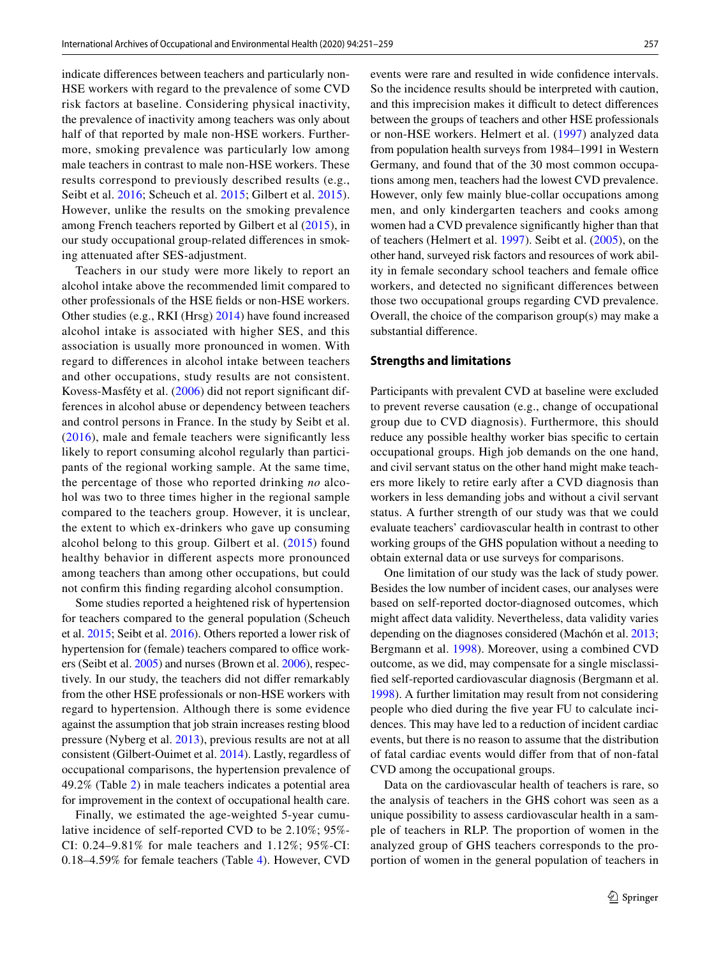indicate diferences between teachers and particularly non-HSE workers with regard to the prevalence of some CVD risk factors at baseline. Considering physical inactivity, the prevalence of inactivity among teachers was only about half of that reported by male non-HSE workers. Furthermore, smoking prevalence was particularly low among male teachers in contrast to male non-HSE workers. These results correspond to previously described results (e.g., Seibt et al. [2016;](#page-8-1) Scheuch et al. [2015;](#page-8-4) Gilbert et al. [2015](#page-8-2)). However, unlike the results on the smoking prevalence among French teachers reported by Gilbert et al [\(2015\)](#page-8-2), in our study occupational group-related diferences in smoking attenuated after SES-adjustment.

Teachers in our study were more likely to report an alcohol intake above the recommended limit compared to other professionals of the HSE felds or non-HSE workers. Other studies (e.g., RKI (Hrsg) [2014\)](#page-8-21) have found increased alcohol intake is associated with higher SES, and this association is usually more pronounced in women. With regard to diferences in alcohol intake between teachers and other occupations, study results are not consistent. Kovess-Masféty et al. ([2006](#page-8-10)) did not report signifcant differences in alcohol abuse or dependency between teachers and control persons in France. In the study by Seibt et al. ([2016\)](#page-8-1), male and female teachers were signifcantly less likely to report consuming alcohol regularly than participants of the regional working sample. At the same time, the percentage of those who reported drinking *no* alcohol was two to three times higher in the regional sample compared to the teachers group. However, it is unclear, the extent to which ex-drinkers who gave up consuming alcohol belong to this group. Gilbert et al. ([2015\)](#page-8-2) found healthy behavior in diferent aspects more pronounced among teachers than among other occupations, but could not confrm this fnding regarding alcohol consumption.

Some studies reported a heightened risk of hypertension for teachers compared to the general population (Scheuch et al. [2015;](#page-8-4) Seibt et al. [2016](#page-8-1)). Others reported a lower risk of hypertension for (female) teachers compared to office workers (Seibt et al. [2005\)](#page-8-9) and nurses (Brown et al. [2006\)](#page-8-12), respectively. In our study, the teachers did not difer remarkably from the other HSE professionals or non-HSE workers with regard to hypertension. Although there is some evidence against the assumption that job strain increases resting blood pressure (Nyberg et al. [2013](#page-8-22)), previous results are not at all consistent (Gilbert-Ouimet et al. [2014](#page-8-23)). Lastly, regardless of occupational comparisons, the hypertension prevalence of 49.2% (Table [2\)](#page-4-0) in male teachers indicates a potential area for improvement in the context of occupational health care.

Finally, we estimated the age-weighted 5-year cumulative incidence of self-reported CVD to be 2.10%; 95%- CI: 0.24–9.81% for male teachers and 1.12%; 95%-CI: 0.18–4.59% for female teachers (Table [4](#page-5-1)). However, CVD events were rare and resulted in wide confdence intervals. So the incidence results should be interpreted with caution, and this imprecision makes it difficult to detect differences between the groups of teachers and other HSE professionals or non-HSE workers. Helmert et al. ([1997](#page-8-8)) analyzed data from population health surveys from 1984–1991 in Western Germany, and found that of the 30 most common occupations among men, teachers had the lowest CVD prevalence. However, only few mainly blue-collar occupations among men, and only kindergarten teachers and cooks among women had a CVD prevalence signifcantly higher than that of teachers (Helmert et al. [1997\)](#page-8-8). Seibt et al. ([2005\)](#page-8-9), on the other hand, surveyed risk factors and resources of work ability in female secondary school teachers and female office workers, and detected no signifcant diferences between those two occupational groups regarding CVD prevalence. Overall, the choice of the comparison group(s) may make a substantial diference.

#### **Strengths and limitations**

Participants with prevalent CVD at baseline were excluded to prevent reverse causation (e.g., change of occupational group due to CVD diagnosis). Furthermore, this should reduce any possible healthy worker bias specifc to certain occupational groups. High job demands on the one hand, and civil servant status on the other hand might make teachers more likely to retire early after a CVD diagnosis than workers in less demanding jobs and without a civil servant status. A further strength of our study was that we could evaluate teachers' cardiovascular health in contrast to other working groups of the GHS population without a needing to obtain external data or use surveys for comparisons.

One limitation of our study was the lack of study power. Besides the low number of incident cases, our analyses were based on self-reported doctor-diagnosed outcomes, which might afect data validity. Nevertheless, data validity varies depending on the diagnoses considered (Machón et al. [2013](#page-8-24); Bergmann et al. [1998](#page-8-25)). Moreover, using a combined CVD outcome, as we did, may compensate for a single misclassifed self-reported cardiovascular diagnosis (Bergmann et al. [1998](#page-8-25)). A further limitation may result from not considering people who died during the fve year FU to calculate incidences. This may have led to a reduction of incident cardiac events, but there is no reason to assume that the distribution of fatal cardiac events would difer from that of non-fatal CVD among the occupational groups.

Data on the cardiovascular health of teachers is rare, so the analysis of teachers in the GHS cohort was seen as a unique possibility to assess cardiovascular health in a sample of teachers in RLP. The proportion of women in the analyzed group of GHS teachers corresponds to the proportion of women in the general population of teachers in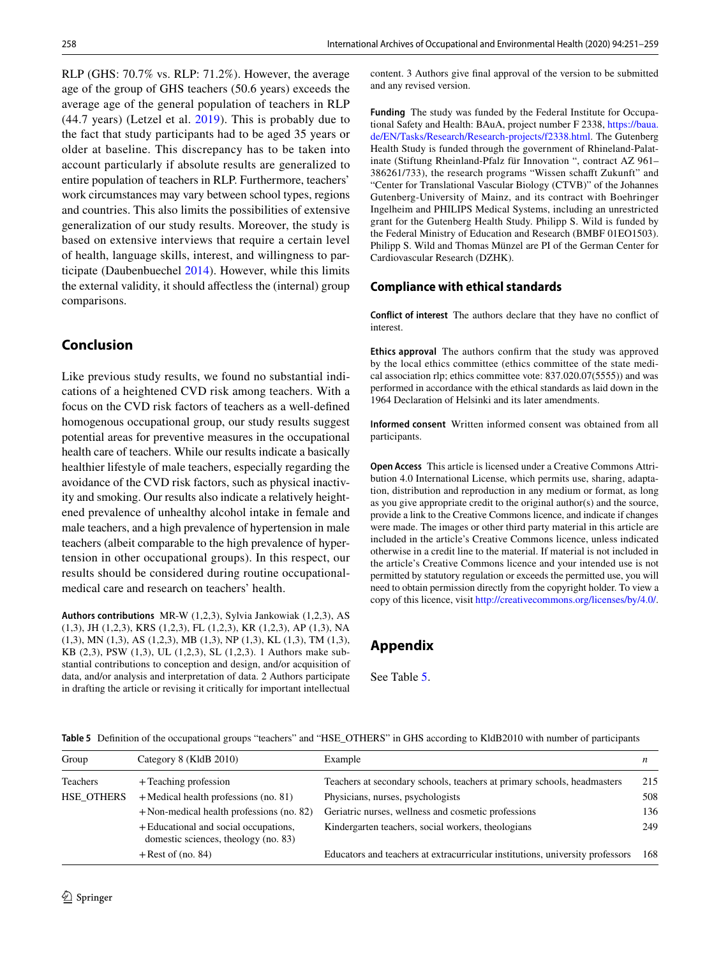RLP (GHS: 70.7% vs. RLP: 71.2%). However, the average age of the group of GHS teachers (50.6 years) exceeds the average age of the general population of teachers in RLP (44.7 years) (Letzel et al. [2019\)](#page-8-26). This is probably due to the fact that study participants had to be aged 35 years or older at baseline. This discrepancy has to be taken into account particularly if absolute results are generalized to entire population of teachers in RLP. Furthermore, teachers' work circumstances may vary between school types, regions and countries. This also limits the possibilities of extensive generalization of our study results. Moreover, the study is based on extensive interviews that require a certain level of health, language skills, interest, and willingness to participate (Daubenbuechel [2014](#page-8-27)). However, while this limits the external validity, it should afectless the (internal) group comparisons.

## **Conclusion**

Like previous study results, we found no substantial indications of a heightened CVD risk among teachers. With a focus on the CVD risk factors of teachers as a well-defned homogenous occupational group, our study results suggest potential areas for preventive measures in the occupational health care of teachers. While our results indicate a basically healthier lifestyle of male teachers, especially regarding the avoidance of the CVD risk factors, such as physical inactivity and smoking. Our results also indicate a relatively heightened prevalence of unhealthy alcohol intake in female and male teachers, and a high prevalence of hypertension in male teachers (albeit comparable to the high prevalence of hypertension in other occupational groups). In this respect, our results should be considered during routine occupationalmedical care and research on teachers' health.

**Authors contributions** MR-W (1,2,3), Sylvia Jankowiak (1,2,3), AS (1,3), JH (1,2,3), KRS (1,2,3), FL (1,2,3), KR (1,2,3), AP (1,3), NA (1,3), MN (1,3), AS (1,2,3), MB (1,3), NP (1,3), KL (1,3), TM (1,3), KB (2,3), PSW (1,3), UL (1,2,3), SL (1,2,3). 1 Authors make substantial contributions to conception and design, and/or acquisition of data, and/or analysis and interpretation of data. 2 Authors participate in drafting the article or revising it critically for important intellectual content. 3 Authors give fnal approval of the version to be submitted and any revised version.

**Funding** The study was funded by the Federal Institute for Occupational Safety and Health: BAuA, project number F 2338, [https://baua.](https://baua.de/EN/Tasks/Research/Research-projects/f2338.html) [de/EN/Tasks/Research/Research-projects/f2338.html.](https://baua.de/EN/Tasks/Research/Research-projects/f2338.html) The Gutenberg Health Study is funded through the government of Rhineland-Palatinate (Stiftung Rheinland-Pfalz für Innovation ", contract AZ 961– 386261/733), the research programs "Wissen schaft Zukunft" and "Center for Translational Vascular Biology (CTVB)" of the Johannes Gutenberg-University of Mainz, and its contract with Boehringer Ingelheim and PHILIPS Medical Systems, including an unrestricted grant for the Gutenberg Health Study. Philipp S. Wild is funded by the Federal Ministry of Education and Research (BMBF 01EO1503). Philipp S. Wild and Thomas Münzel are PI of the German Center for Cardiovascular Research (DZHK).

#### **Compliance with ethical standards**

**Conflict of interest** The authors declare that they have no confict of interest.

**Ethics approval** The authors confrm that the study was approved by the local ethics committee (ethics committee of the state medical association rlp; ethics committee vote: 837.020.07(5555)) and was performed in accordance with the ethical standards as laid down in the 1964 Declaration of Helsinki and its later amendments.

**Informed consent** Written informed consent was obtained from all participants.

**Open Access** This article is licensed under a Creative Commons Attribution 4.0 International License, which permits use, sharing, adaptation, distribution and reproduction in any medium or format, as long as you give appropriate credit to the original author(s) and the source, provide a link to the Creative Commons licence, and indicate if changes were made. The images or other third party material in this article are included in the article's Creative Commons licence, unless indicated otherwise in a credit line to the material. If material is not included in the article's Creative Commons licence and your intended use is not permitted by statutory regulation or exceeds the permitted use, you will need to obtain permission directly from the copyright holder. To view a copy of this licence, visit<http://creativecommons.org/licenses/by/4.0/>.

# <span id="page-7-1"></span>**Appendix**

See Table [5](#page-7-0).

<span id="page-7-0"></span>

|  |  |  |  |  |  |  | Table 5 Definition of the occupational groups "teachers" and "HSE_OTHERS" in GHS according to KldB2010 with number of participants |
|--|--|--|--|--|--|--|------------------------------------------------------------------------------------------------------------------------------------|
|--|--|--|--|--|--|--|------------------------------------------------------------------------------------------------------------------------------------|

| Group             | Category 8 (KldB 2010)                                                        | Example                                                                       |     |
|-------------------|-------------------------------------------------------------------------------|-------------------------------------------------------------------------------|-----|
| Teachers          | + Teaching profession                                                         | Teachers at secondary schools, teachers at primary schools, headmasters       | 215 |
| <b>HSE OTHERS</b> | $+$ Medical health professions (no. 81)                                       | Physicians, nurses, psychologists                                             | 508 |
|                   | $+$ Non-medical health professions (no. 82)                                   | Geriatric nurses, wellness and cosmetic professions                           | 136 |
|                   | + Educational and social occupations,<br>domestic sciences, theology (no. 83) | Kindergarten teachers, social workers, theologians                            | 249 |
|                   | $+$ Rest of (no. 84)                                                          | Educators and teachers at extracurricular institutions, university professors | 168 |